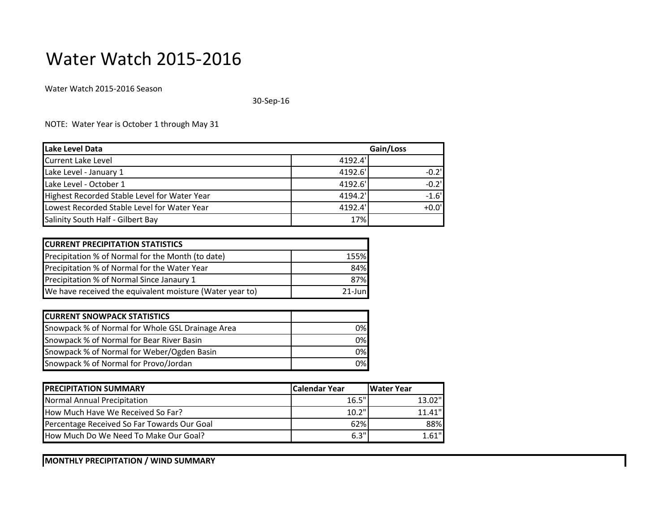## Water Watch 2015-2016

Water Watch 2015-2016 Season

30-Sep-16

NOTE: Water Year is October 1 through May 31

| Lake Level Data                              | Gain/Loss |          |
|----------------------------------------------|-----------|----------|
| Current Lake Level                           | 4192.4    |          |
| Lake Level - January 1                       | 4192.6'   | $-0.2$   |
| Lake Level - October 1                       | 4192.6'   | $-0.2$ ' |
| Highest Recorded Stable Level for Water Year | 4194.2'   | $-1.6'$  |
| Lowest Recorded Stable Level for Water Year  | 4192.4'   | $+0.0$ ' |
| Salinity South Half - Gilbert Bay            | 17%       |          |

| <b>CURRENT PRECIPITATION STATISTICS</b>                  |             |  |  |
|----------------------------------------------------------|-------------|--|--|
| Precipitation % of Normal for the Month (to date)        | <b>155%</b> |  |  |
| Precipitation % of Normal for the Water Year             | 84%         |  |  |
| Precipitation % of Normal Since Janaury 1                | 87%         |  |  |
| We have received the equivalent moisture (Water year to) | $21$ -Jun   |  |  |

| <b>CURRENT SNOWPACK STATISTICS</b>               |     |
|--------------------------------------------------|-----|
| Snowpack % of Normal for Whole GSL Drainage Area | 0%I |
| Snowpack % of Normal for Bear River Basin        | 0%  |
| Snowpack % of Normal for Weber/Ogden Basin       | 0%  |
| Snowpack % of Normal for Provo/Jordan            | 0%  |

| <b>IPRECIPITATION SUMMARY</b>               | Calendar Year | <b>IWater Year</b> |
|---------------------------------------------|---------------|--------------------|
| Normal Annual Precipitation                 | 16.5"         | 13.02"             |
| How Much Have We Received So Far?           | 10.2"         | $11.41$ "          |
| Percentage Received So Far Towards Our Goal | 62%           | 88%                |
| How Much Do We Need To Make Our Goal?       | 6.3"          | 1.61"              |

**MONTHLY PRECIPITATION / WIND SUMMARY**